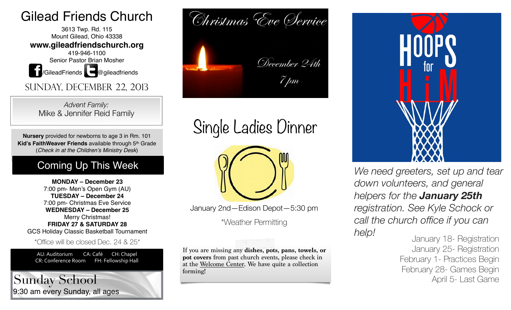## Gilead Friends Church

3613 Twp. Rd. 115 Mount Gilead, Ohio 43338 **www.gileadfriendschurch.org** 419-946-1100 Senior Pastor Brian Mosher **1** /GileadFriends **@**gileadfriends

Sunday, December 22, 2013

*Advent Family:*  Mike & Jennifer Reid Family

**Nursery** provided for newborns to age 3 in Rm. 101 **Kid's FaithWeaver Friends** available through 5th Grade (*Check in at the Children's Ministry Desk*)

### Coming Up This Week

**MONDAY – December 23**  7:00 pm- Men's Open Gym (AU) **TUESDAY – December 24**  7:00 pm- Christmas Eve Service **WEDNESDAY – December 25**  Merry Christmas! **FRIDAY 27 & SATURDAY 28** GCS Holiday Classic Basketball Tournament

\*Office will be closed Dec. 24 & 25\*

AU: Auditorium CA: Café CH: Chapel CR: Conference Room FH: Fellowship Hall

9:30 am every Sunday, all ages Sunday School



Single Ladies Dinner



January 2nd—Edison Depot—5:30 pm

\*Weather Permitting

If you are missing any **dishes, pots, pans, towels, or pot covers** from past church events, please check in at the Welcome Center. We have quite a collection forming!



*We need greeters, set up and tear down volunteers, and general helpers for the January 25th registration. See Kyle Schock or call the church office if you can help!*

January 18- Registration January 25- Registration February 1- Practices Begin February 28- Games Begin April 5- Last Game